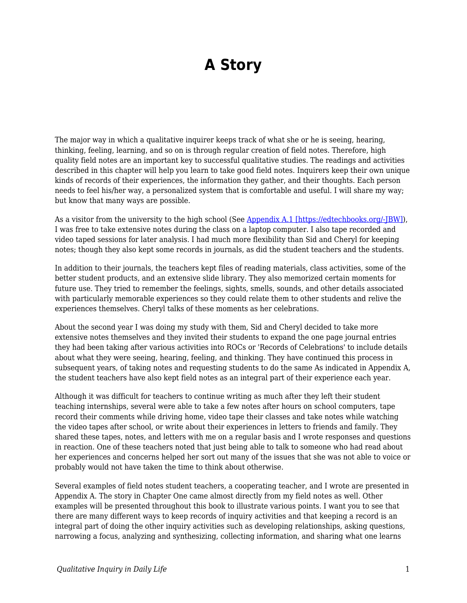## **A Story**

The major way in which a qualitative inquirer keeps track of what she or he is seeing, hearing, thinking, feeling, learning, and so on is through regular creation of field notes. Therefore, high quality field notes are an important key to successful qualitative studies. The readings and activities described in this chapter will help you learn to take good field notes. Inquirers keep their own unique kinds of records of their experiences, the information they gather, and their thoughts. Each person needs to feel his/her way, a personalized system that is comfortable and useful. I will share my way; but know that many ways are possible.

As a visitor from the university to the high school (See [Appendix A.1 \[https://edtechbooks.org/-JBW\]](https://edtechbooks.org/qualitativeinquiry/appendixa)), I was free to take extensive notes during the class on a laptop computer. I also tape recorded and video taped sessions for later analysis. I had much more flexibility than Sid and Cheryl for keeping notes; though they also kept some records in journals, as did the student teachers and the students.

In addition to their journals, the teachers kept files of reading materials, class activities, some of the better student products, and an extensive slide library. They also memorized certain moments for future use. They tried to remember the feelings, sights, smells, sounds, and other details associated with particularly memorable experiences so they could relate them to other students and relive the experiences themselves. Cheryl talks of these moments as her celebrations.

About the second year I was doing my study with them, Sid and Cheryl decided to take more extensive notes themselves and they invited their students to expand the one page journal entries they had been taking after various activities into ROCs or 'Records of Celebrations' to include details about what they were seeing, hearing, feeling, and thinking. They have continued this process in subsequent years, of taking notes and requesting students to do the same As indicated in Appendix A, the student teachers have also kept field notes as an integral part of their experience each year.

Although it was difficult for teachers to continue writing as much after they left their student teaching internships, several were able to take a few notes after hours on school computers, tape record their comments while driving home, video tape their classes and take notes while watching the video tapes after school, or write about their experiences in letters to friends and family. They shared these tapes, notes, and letters with me on a regular basis and I wrote responses and questions in reaction. One of these teachers noted that just being able to talk to someone who had read about her experiences and concerns helped her sort out many of the issues that she was not able to voice or probably would not have taken the time to think about otherwise.

Several examples of field notes student teachers, a cooperating teacher, and I wrote are presented in Appendix A. The story in Chapter One came almost directly from my field notes as well. Other examples will be presented throughout this book to illustrate various points. I want you to see that there are many different ways to keep records of inquiry activities and that keeping a record is an integral part of doing the other inquiry activities such as developing relationships, asking questions, narrowing a focus, analyzing and synthesizing, collecting information, and sharing what one learns